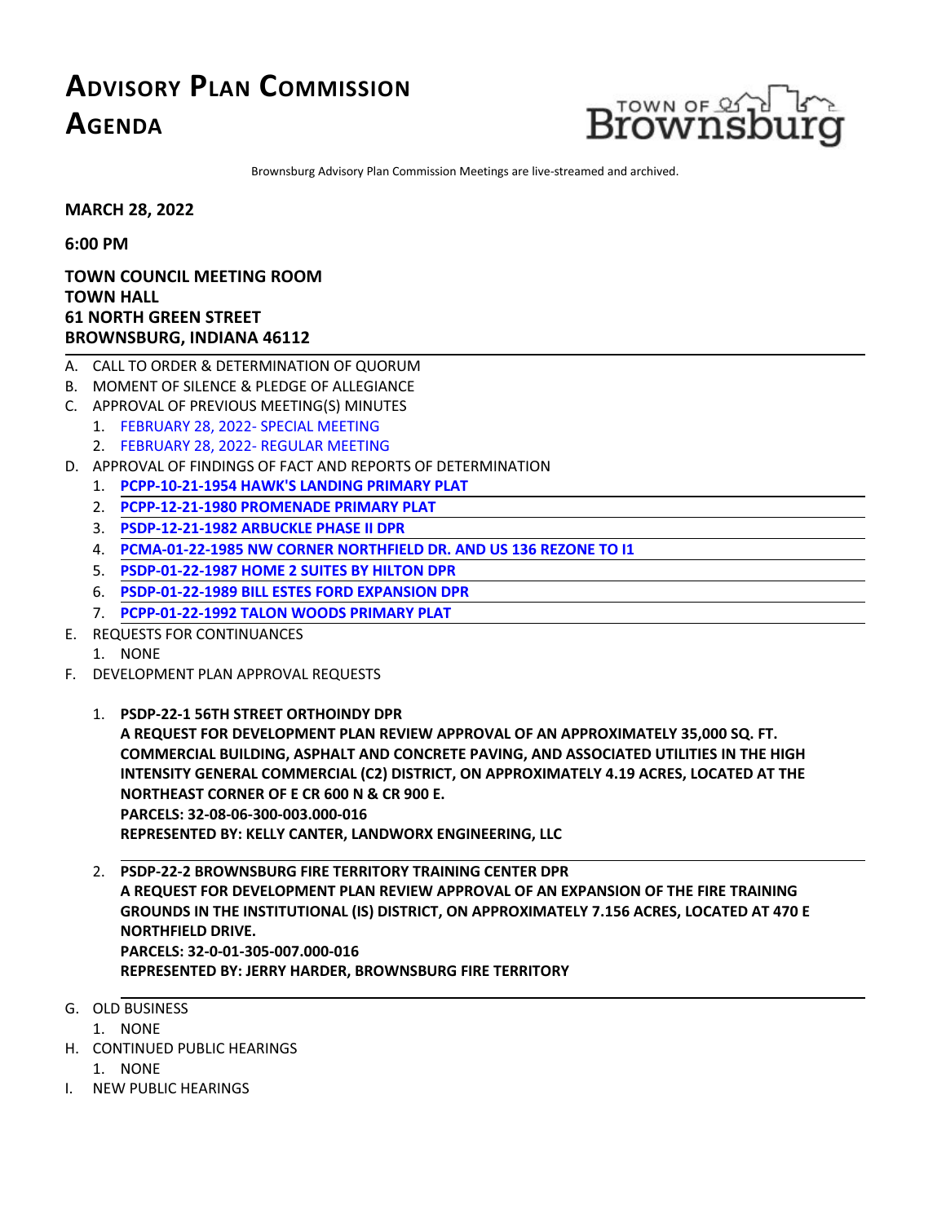## **ADVISORY PLAN COMMISSION AGENDA**



Brownsburg Advisory Plan Commission Meetingsare live-streamed and archived.

**MARCH 28, 2022**

**6:00 PM**

**TOWN COUNCIL MEETING ROOM TOWN HALL 61 NORTH GREEN STREET BROWNSBURG, INDIANA 46112**

- A. CALL TO ORDER & DETERMINATION OF QUORUM
- B. MOMENT OF SILENCE & PLEDGE OF ALLEGIANCE
- C. APPROVAL OF PREVIOUS MEETING(S) MINUTES
	- 1. FEBRUARY 28, [2022-SPECIAL](http://packets.shea.agendease.com/getdoc.php?cID=10000128&bID=160&mID=5652&iID=48962) MEETING
	- 2. [FEBRUARY](http://packets.shea.agendease.com/getdoc.php?cID=10000128&bID=160&mID=5652&iID=48963) 28, 2022- REGULAR MEETING
- D. APPROVAL OF FINDINGS OF FACT AND REPORTS OF DETERMINATION
	- 1. **PCPP-10-21-1954 [HAWK'SLANDING](http://packets.shea.agendease.com/getdoc.php?cID=10000128&bID=160&mID=5652&iID=48969) PRIMARY PLAT**
	- 2. **[PCPP-12-21-1980](http://packets.shea.agendease.com/getdoc.php?cID=10000128&bID=160&mID=5652&iID=48966) PROMENADE PRIMARY PLAT**
	- 3. **[PSDP-12-21-1982](http://packets.shea.agendease.com/getdoc.php?cID=10000128&bID=160&mID=5652&iID=48968) ARBUCKLE PHASEII DPR**
	- 4. **[PCMA-01-22-1985](http://packets.shea.agendease.com/getdoc.php?cID=10000128&bID=160&mID=5652&iID=48970) NW CORNER NORTHFIELD DR. AND US 136 REZONE TO I1**
	- 5. **[PSDP-01-22-1987](http://packets.shea.agendease.com/getdoc.php?cID=10000128&bID=160&mID=5652&iID=48964) HOME 2 SUITES BY HILTON DPR**
	- 6. **[PSDP-01-22-1989](http://packets.shea.agendease.com/getdoc.php?cID=10000128&bID=160&mID=5652&iID=48965) BILLESTESFORD EXPANSION DPR**
	- 7. **[PCPP-01-22-1992](http://packets.shea.agendease.com/getdoc.php?cID=10000128&bID=160&mID=5652&iID=48971) TALON WOODS PRIMARY PLAT**
- E. REQUESTS FOR CONTINUANCES
	- 1. NONE
- F. DEVELOPMENT PLAN APPROVAL REQUESTS
	- 1. **PSDP-22-1 56TH STREET [ORTHOINDY](http://packets.shea.agendease.com/getdoc.php?cID=10000128&bID=160&mID=5652&iID=48972) DPR**

A REQUEST FOR DEVELOPMENT PLAN REVIEW APPROVAL OF AN APPROXIMATELY 35,000 SQ. FT.<br>COMMERCIAL BUILDING, ASPHALT AND CONCRETE PAVING, AND ASSOCIATED UTILITIES IN THE HIGH **INTENSITY GENERAL COMMERCIAL (C2) DISTRICT, ON APPROXIMATELY 4.19 ACRES, LOCATED AT THE NORTHEAST CORNER OFE CR <sup>600</sup> <sup>N</sup> & CR <sup>900</sup> E. PARCELS: 32-08-06-300-003.000-016 REPRESENTED BY: KELLY CANTER, LANDWORX ENGINEERING, LLC**

- 2. **PSDP-22-2 [BROWNSBURG](http://packets.shea.agendease.com/getdoc.php?cID=10000128&bID=160&mID=5652&iID=48973) FIRE TERRITORY TRAINING CENTER DPR A REQUEST FOR DEVELOPMENT PLAN REVIEW APPROVAL OF AN EXPANSION OF THEFIRE TRAINING GROUNDSIN THEINSTITUTIONAL (IS) DISTRICT, ON APPROXIMATELY 7.156 ACRES, LOCATED AT 470 E NORTHFIELD DRIVE. PARCELS: 32-0-01-305-007.000-016 REPRESENTED BY: JERRY HARDER, BROWNSBURG FIRE TERRITORY**
- G. OLD BUSINESS
	- 1. NONE
- H. CONTINUED PUBLIC HEARINGS
	- 1. NONE
- I. NEW PUBLIC HEARINGS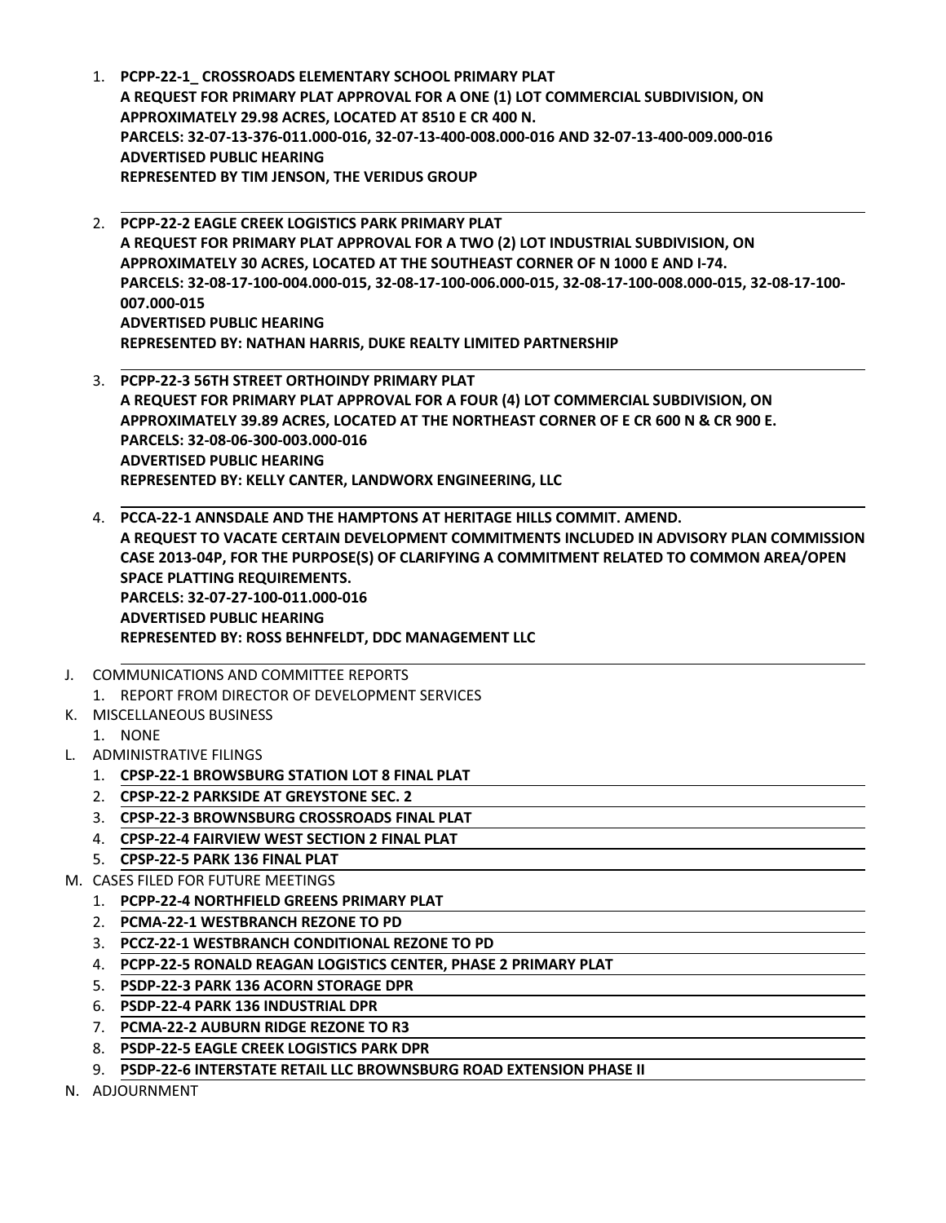- 1. **PCPP-22-1\_ [CROSSROADSELEMENTARY](http://packets.shea.agendease.com/getdoc.php?cID=10000128&bID=160&mID=5652&iID=48974) SCHOOL PRIMARY PLAT A REQUEST FOR PRIMARY PLAT APPROVALFOR A ONE(1) LOT COMMERCIALSUBDIVISION, ON** APPROXIMATELY 29.98 ACRES, LOCATED AT 8510 E CR 400 N.<br>PARCELS: 32-07-13-376-011.000-016, 32-07-13-400-008.000-016 AND 32-07-13-400-009.000-016 **ADVERTISED PUBLIC HEARING REPRESENTED BY TIM JENSON, THE VERIDUS GROUP**
- 2. **[PCPP-22-2](http://packets.shea.agendease.com/getdoc.php?cID=10000128&bID=160&mID=5652&iID=48975) EAGLE CREEK LOGISTICS PARK PRIMARY PLAT A REQUEST FOR PRIMARY PLAT APPROVALFOR A TWO (2) LOT INDUSTRIALSUBDIVISION, ON APPROXIMATELY 30 ACRES, LOCATED AT THESOUTHEAST CORNER OF N 1000 E AND I-74. PARCELS: 32-08-17-100-004.000-015, 32-08-17-100-006.000-015, 32-08-17-100-008.000-015, 32-08-17-100- 007.000-015 ADVERTISED PUBLIC HEARING REPRESENTED BY: NATHAN HARRIS, DUKE REALTY LIMITED PARTNERSHIP**
- 3. **PCPP-22-3 56TH STREET [ORTHOINDY](http://packets.shea.agendease.com/getdoc.php?cID=10000128&bID=160&mID=5652&iID=48976) PRIMARY PLAT A REQUEST FOR PRIMARY PLAT APPROVALFOR A FOUR (4) LOT COMMERCIALSUBDIVISION, ON APPROXIMATELY 39.89 ACRES, LOCATED AT THE NORTHEAST CORNER OFE CR 600 N & CR 900 E. PARCELS: 32-08-06-300-003.000-016 ADVERTISED PUBLIC HEARING REPRESENTED BY: KELLY CANTER, LANDWORX ENGINEERING, LLC**
- 4. PCCA-22-1 ANNSDALE AND THE [HAMPTONS](http://packets.shea.agendease.com/getdoc.php?cID=10000128&bID=160&mID=5652&iID=48977) AT HERITAGE HILLS COMMIT. AMEND.<br>A REQUEST TO VACATE CERTAIN DEVELOPMENT COMMITMENTS INCLUDED IN ADVISORY PLAN COMMISSION **CASE 2013-04P, FOR THE PURPOSE(S) OF CLARIFYING A COMMITMENT RELATED TO COMMON AREA/OPEN SPACE PLATTING REQUIREMENTS. PARCELS: 32-07-27-100-011.000-016 ADVERTISED PUBLIC HEARING REPRESENTED BY: ROSS BEHNFELDT, DDC MANAGEMENT LLC**
- J. COMMUNICATIONS AND COMMITTEE REPORTS 1. REPORT FROM DIRECTOR OF DEVELOPMENT SERVICES
- K. MISCELLANEOUS BUSINESS
- 1. NONE
- L. ADMINISTRATIVE FILINGS
	- 1. **CPSP-22-1 BROWSBURG STATION LOT 8 FINAL PLAT**
	- 2. **CPSP-22-2 PARKSIDE AT GREYSTONESEC. 2**
	- 3. **CPSP-22-3 BROWNSBURG CROSSROADSFINAL PLAT**
	- 4. **CPSP-22-4 FAIRVIEW WEST SECTION 2 FINAL PLAT**
	- 5. **CPSP-22-5 PARK 136 FINAL PLAT**
- M. CASES FILED FOR FUTURE MEETINGS
	- 1. **PCPP-22-4 NORTHFIELD GREENS PRIMARY PLAT**
	- 2. **PCMA-22-1 WESTBRANCH REZONE TO PD**
	- 3. **PCCZ-22-1 WESTBRANCH CONDITIONAL REZONE TO PD**
	- 4. **PCPP-22-5 RONALD REAGAN LOGISTICS CENTER, PHASE 2 PRIMARY PLAT**
	- 5. **PSDP-22-3 PARK 136 ACORN STORAGE DPR**
	- 6. **PSDP-22-4 PARK 136 INDUSTRIAL DPR**
	- 7. **PCMA-22-2 AUBURN RIDGE REZONE TO R3**
	- 8. **PSDP-22-5 EAGLE CREEK LOGISTICS PARK DPR**
	- 9. **PSDP-22-6 INTERSTATE RETAIL LLC BROWNSBURG ROAD EXTENSION PHASEII**
- N. ADJOURNMENT